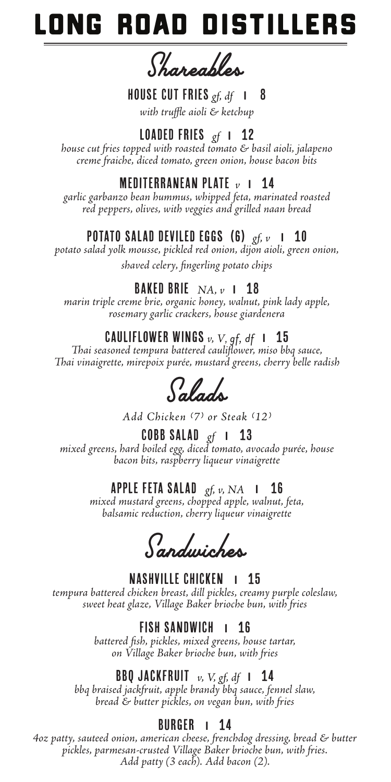# ONG ROAD DISTILLEI

*Shareables*

#### HOUSE CUT FRIES *gf, df* **I** 8

*with truffle aioli & ketchup*

# LOADED FRIES *gf* **I** 12

*house cut fries topped with roasted tomato & basil aioli, jalapeno creme fraiche, diced tomato, green onion, house bacon bits*

# MEDITERRANEAN PLATE*v* **I** 14

*garlic garbanzo bean hummus, whipped feta, marinated roasted red peppers, olives, with veggies and grilled naan bread*

# POTATO SALAD Deviled Eggs (6) *gf, v* **I** 10

*potato salad yolk mousse, pickled red onion, dijon aioli, green onion, shaved celery, fingerling potato chips* 

# Baked Brie *NA, v* **I** 18

*marin triple creme brie, organic honey, walnut, pink lady apple, rosemary garlic crackers, house giardenera*

# Cauliflower Wings *v, V, gf, df* **I** 15

*Thai seasoned tempura battered cauliflower, miso bbq sauce, Thai vinaigrette, mirepoix purée, mustard greens, cherry belle radish*

*Salads*

*Add Chicken (7) or Steak (12)*

#### COBB Salad*gf* **I** 13 *mixed greens, hard boiled egg, diced tomato, avocado purée, house bacon bits, raspberry liqueur vinaigrette*

### Apple Feta Salad *gf, v, NA* **I** 16

*mixed mustard greens, chopped apple, walnut, feta, balsamic reduction, cherry liqueur vinaigrette*

*Sandwiches*

NASHVILLE CHICKEN **I** 15 *tempura battered chicken breast, dill pickles, creamy purple coleslaw, sweet heat glaze, Village Baker brioche bun, with fries*

### FISH SANDWICH **I** 16

*battered fish, pickles, mixed greens, house tartar, on Village Baker brioche bun, with fries*

# BBQ Jackfruit *v, V, gf, df* **I** 14

*bbq braised jackfruit, apple brandy bbq sauce, fennel slaw, bread & butter pickles, on vegan bun, with fries*

# BURGER **I** 14

*4oz patty, sauteed onion, american cheese, frenchdog dressing, bread & butter pickles, parmesan-crusted Village Baker brioche bun, with fries. Add patty (3 each). Add bacon (2).*